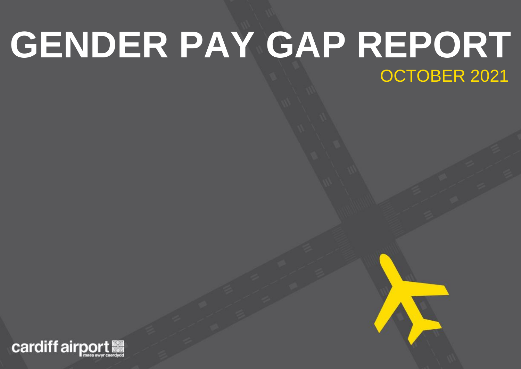### **GENDER PAY GAP REPORT** OCTOBER 2021

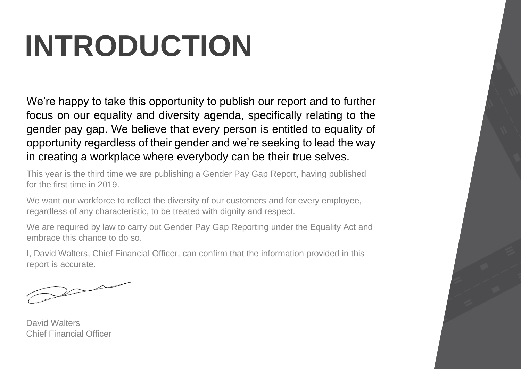## **INTRODUCTION**

We're happy to take this opportunity to publish our report and to further focus on our equality and diversity agenda, specifically relating to the gender pay gap. We believe that every person is entitled to equality of opportunity regardless of their gender and we're seeking to lead the way in creating a workplace where everybody can be their true selves.

This year is the third time we are publishing a Gender Pay Gap Report, having published for the first time in 2019.

We want our workforce to reflect the diversity of our customers and for every employee, regardless of any characteristic, to be treated with dignity and respect.

We are required by law to carry out Gender Pay Gap Reporting under the Equality Act and embrace this chance to do so.

I, David Walters, Chief Financial Officer, can confirm that the information provided in this report is accurate.

 $\bigwedge$ 

David Walters Chief Financial Officer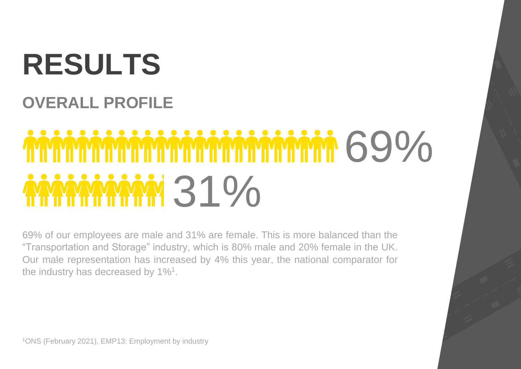## **RESULTS**

#### **OVERALL PROFILE**

# MMMMMMMMMMMMMMMMMMMMMMMMMMM **MMMM 31%**

69% of our employees are male and 31% are female. This is more balanced than the "Transportation and Storage" industry, which is 80% male and 20% female in the UK. Our male representation has increased by 4% this year, the national comparator for the industry has decreased by 1%<sup>1</sup>.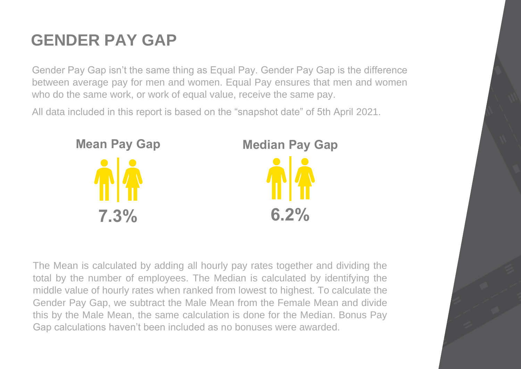### **GENDER PAY GAP**

Gender Pay Gap isn't the same thing as Equal Pay. Gender Pay Gap is the difference between average pay for men and women. Equal Pay ensures that men and women who do the same work, or work of equal value, receive the same pay.

All data included in this report is based on the "snapshot date" of 5th April 2021.



The Mean is calculated by adding all hourly pay rates together and dividing the total by the number of employees. The Median is calculated by identifying the middle value of hourly rates when ranked from lowest to highest. To calculate the Gender Pay Gap, we subtract the Male Mean from the Female Mean and divide this by the Male Mean, the same calculation is done for the Median. Bonus Pay Gap calculations haven't been included as no bonuses were awarded.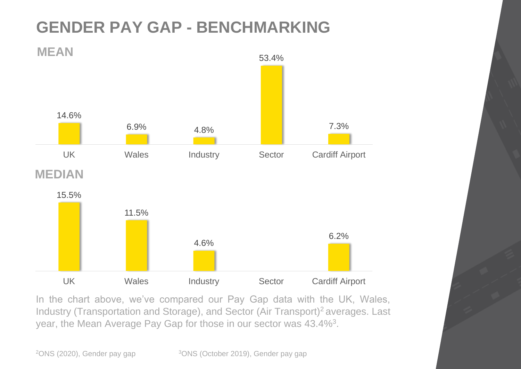### **GENDER PAY GAP - BENCHMARKING**



In the chart above, we've compared our Pay Gap data with the UK, Wales, Industry (Transportation and Storage), and Sector (Air Transport)<sup>2</sup> averages. Last year, the Mean Average Pay Gap for those in our sector was 43.4%<sup>3</sup>.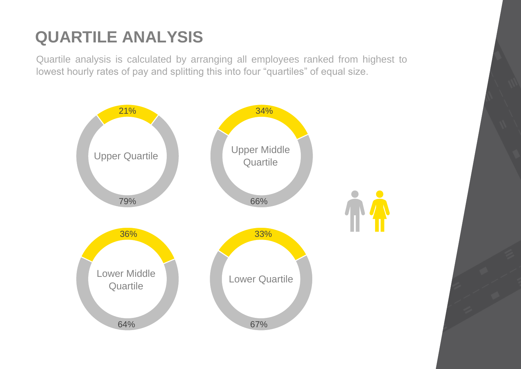### **QUARTILE ANALYSIS**

Quartile analysis is calculated by arranging all employees ranked from highest to lowest hourly rates of pay and splitting this into four "quartiles" of equal size.